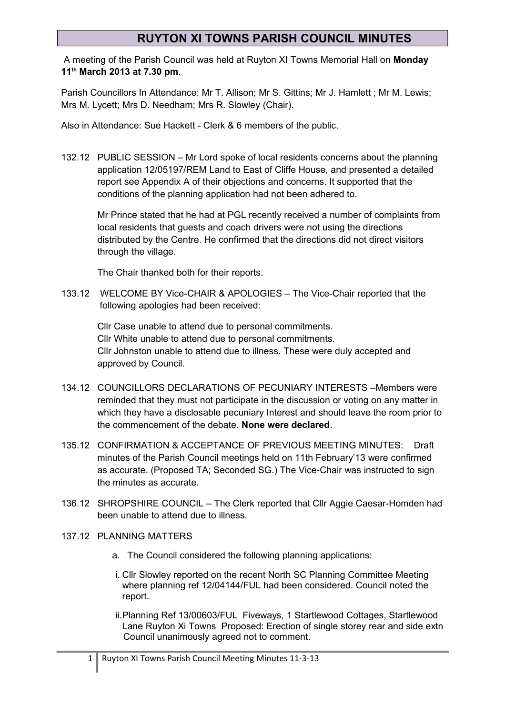A meeting of the Parish Council was held at Ruyton XI Towns Memorial Hall on **Monday 11th March 2013 at 7.30 pm**.

Parish Councillors In Attendance: Mr T. Allison; Mr S. Gittins; Mr J. Hamlett ; Mr M. Lewis; Mrs M. Lycett; Mrs D. Needham; Mrs R. Slowley (Chair).

Also in Attendance: Sue Hackett - Clerk & 6 members of the public.

132.12 PUBLIC SESSION – Mr Lord spoke of local residents concerns about the planning application 12/05197/REM Land to East of Cliffe House, and presented a detailed report see Appendix A of their objections and concerns. It supported that the conditions of the planning application had not been adhered to.

Mr Prince stated that he had at PGL recently received a number of complaints from local residents that guests and coach drivers were not using the directions distributed by the Centre. He confirmed that the directions did not direct visitors through the village.

The Chair thanked both for their reports.

133.12 WELCOME BY Vice-CHAIR & APOLOGIES – The Vice-Chair reported that the following apologies had been received:

Cllr Case unable to attend due to personal commitments. Cllr White unable to attend due to personal commitments. Cllr Johnston unable to attend due to illness. These were duly accepted and approved by Council.

- 134.12 COUNCILLORS DECLARATIONS OF PECUNIARY INTERESTS –Members were reminded that they must not participate in the discussion or voting on any matter in which they have a disclosable pecuniary Interest and should leave the room prior to the commencement of the debate. **None were declared**.
- 135.12 CONFIRMATION & ACCEPTANCE OF PREVIOUS MEETING MINUTES: Draft minutes of the Parish Council meetings held on 11th February'13 were confirmed as accurate. (Proposed TA; Seconded SG.) The Vice-Chair was instructed to sign the minutes as accurate.
- 136.12 SHROPSHIRE COUNCIL The Clerk reported that Cllr Aggie Caesar-Homden had been unable to attend due to illness.
- 137.12 PLANNING MATTERS
	- a. The Council considered the following planning applications:
	- i. Cllr Slowley reported on the recent North SC Planning Committee Meeting where planning ref 12/04144/FUL had been considered. Council noted the report.
	- ii.Planning Ref 13/00603/FUL Fiveways, 1 Startlewood Cottages, Startlewood Lane Ruyton Xi Towns Proposed: Erection of single storey rear and side extn Council unanimously agreed not to comment.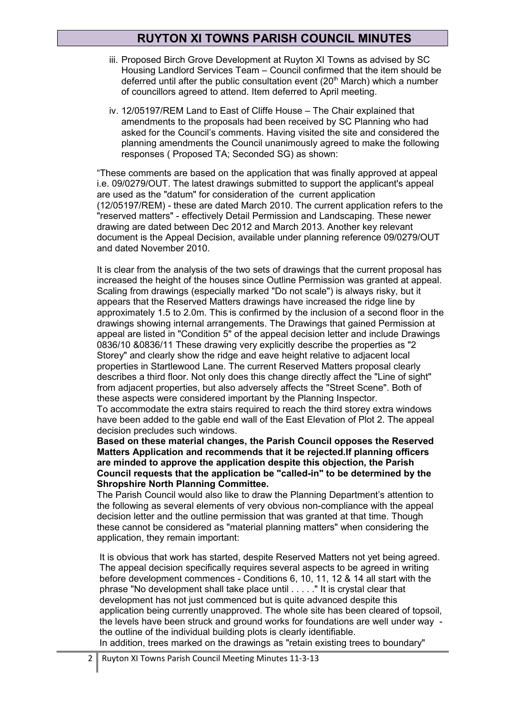- iii. Proposed Birch Grove Development at Ruyton XI Towns as advised by SC Housing Landlord Services Team – Council confirmed that the item should be deferred until after the public consultation event ( $20<sup>th</sup>$  March) which a number of councillors agreed to attend. Item deferred to April meeting.
- iv. 12/05197/REM Land to East of Cliffe House The Chair explained that amendments to the proposals had been received by SC Planning who had asked for the Council's comments. Having visited the site and considered the planning amendments the Council unanimously agreed to make the following responses ( Proposed TA; Seconded SG) as shown:

"These comments are based on the application that was finally approved at appeal i.e. 09/0279/OUT. The latest drawings submitted to support the applicant's appeal are used as the "datum" for consideration of the current application (12/05197/REM) - these are dated March 2010. The current application refers to the "reserved matters" - effectively Detail Permission and Landscaping. These newer drawing are dated between Dec 2012 and March 2013. Another key relevant document is the Appeal Decision, available under planning reference 09/0279/OUT and dated November 2010.

It is clear from the analysis of the two sets of drawings that the current proposal has increased the height of the houses since Outline Permission was granted at appeal. Scaling from drawings (especially marked "Do not scale") is always risky, but it appears that the Reserved Matters drawings have increased the ridge line by approximately 1.5 to 2.0m. This is confirmed by the inclusion of a second floor in the drawings showing internal arrangements. The Drawings that gained Permission at appeal are listed in "Condition 5" of the appeal decision letter and include Drawings 0836/10 &0836/11 These drawing very explicitly describe the properties as "2 Storey" and clearly show the ridge and eave height relative to adjacent local properties in Startlewood Lane. The current Reserved Matters proposal clearly describes a third floor. Not only does this change directly affect the "Line of sight" from adjacent properties, but also adversely affects the "Street Scene". Both of these aspects were considered important by the Planning Inspector.

To accommodate the extra stairs required to reach the third storey extra windows have been added to the gable end wall of the East Elevation of Plot 2. The appeal decision precludes such windows.

**Based on these material changes, the Parish Council opposes the Reserved Matters Application and recommends that it be rejected.If planning officers are minded to approve the application despite this objection, the Parish Council requests that the application be "called-in" to be determined by the Shropshire North Planning Committee.**

The Parish Council would also like to draw the Planning Department's attention to the following as several elements of very obvious non-compliance with the appeal decision letter and the outline permission that was granted at that time. Though these cannot be considered as "material planning matters" when considering the application, they remain important:

It is obvious that work has started, despite Reserved Matters not yet being agreed. The appeal decision specifically requires several aspects to be agreed in writing before development commences - Conditions 6, 10, 11, 12 & 14 all start with the phrase "No development shall take place until . . . . ." It is crystal clear that development has not just commenced but is quite advanced despite this application being currently unapproved. The whole site has been cleared of topsoil, the levels have been struck and ground works for foundations are well under way the outline of the individual building plots is clearly identifiable.

In addition, trees marked on the drawings as "retain existing trees to boundary"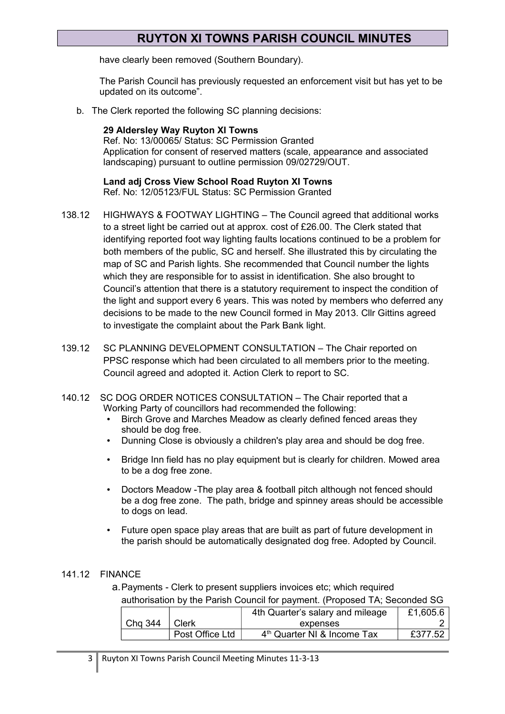have clearly been removed (Southern Boundary).

The Parish Council has previously requested an enforcement visit but has yet to be updated on its outcome".

b. The Clerk reported the following SC planning decisions:

**29 Aldersley Way Ruyton XI Towns** Ref. No: 13/00065/ Status: SC Permission Granted Application for consent of reserved matters (scale, appearance and associated landscaping) pursuant to outline permission 09/02729/OUT.

**Land adj Cross View School Road Ruyton XI Towns**  Ref. No: 12/05123/FUL Status: SC Permission Granted

- 138.12 HIGHWAYS & FOOTWAY LIGHTING The Council agreed that additional works to a street light be carried out at approx. cost of £26.00. The Clerk stated that identifying reported foot way lighting faults locations continued to be a problem for both members of the public, SC and herself. She illustrated this by circulating the map of SC and Parish lights. She recommended that Council number the lights which they are responsible for to assist in identification. She also brought to Council's attention that there is a statutory requirement to inspect the condition of the light and support every 6 years. This was noted by members who deferred any decisions to be made to the new Council formed in May 2013. Cllr Gittins agreed to investigate the complaint about the Park Bank light.
- 139.12 SC PLANNING DEVELOPMENT CONSULTATION The Chair reported on PPSC response which had been circulated to all members prior to the meeting. Council agreed and adopted it. Action Clerk to report to SC.
- 140.12 SC DOG ORDER NOTICES CONSULTATION The Chair reported that a Working Party of councillors had recommended the following:
	- Birch Grove and Marches Meadow as clearly defined fenced areas they should be dog free.
	- Dunning Close is obviously a children's play area and should be dog free.
	- Bridge Inn field has no play equipment but is clearly for children. Mowed area to be a dog free zone.
	- Doctors Meadow -The play area & football pitch although not fenced should be a dog free zone. The path, bridge and spinney areas should be accessible to dogs on lead.
	- Future open space play areas that are built as part of future development in the parish should be automatically designated dog free. Adopted by Council.

#### 141.12 FINANCE

a.Payments - Clerk to present suppliers invoices etc; which required authorisation by the Parish Council for payment. (Proposed TA; Seconded SG

|         |                 | 4th Quarter's salary and mileage        | £1,605.6 |
|---------|-----------------|-----------------------------------------|----------|
| Chg 344 | <b>Clerk</b>    | expenses                                |          |
|         | Post Office Ltd | 4 <sup>th</sup> Quarter NI & Income Tax | £377.52  |